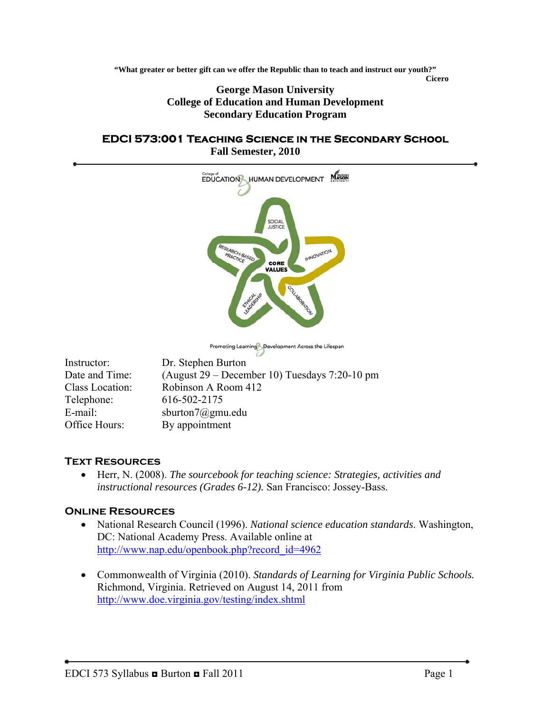**"What greater or better gift can we offer the Republic than to teach and instruct our youth?"** 

*Cicero* **George Mason University College of Education and Human Development Secondary Education Program** 

#### **EDCI 573:001 Teaching Science in the Secondary School Fall Semester, 2010**



Promoting Learning Development Across the Lifespan

| Instructor:     | Dr. Stephen Burton                              |
|-----------------|-------------------------------------------------|
| Date and Time:  | (August $29$ – December 10) Tuesdays 7:20-10 pm |
| Class Location: | Robinson A Room 412                             |
| Telephone:      | 616-502-2175                                    |
| E-mail:         | sburton $7$ @gmu.edu                            |
| Office Hours:   | By appointment                                  |

## **Text Resources**

• Herr, N. (2008). *The sourcebook for teaching science: Strategies, activities and instructional resources (Grades 6-12).* San Francisco: Jossey-Bass.

### **Online Resources**

- National Research Council (1996). *National science education standards*. Washington, DC: National Academy Press. Available online at [http://www.nap.edu/openbook.php?record\\_id=4962](http://www.nap.edu/openbook.php?record_id=4962)
- Commonwealth of Virginia (2010). *Standards of Learning for Virginia Public Schools.* Richmond, Virginia. Retrieved on August 14, 2011 from <http://www.doe.virginia.gov/testing/index.shtml>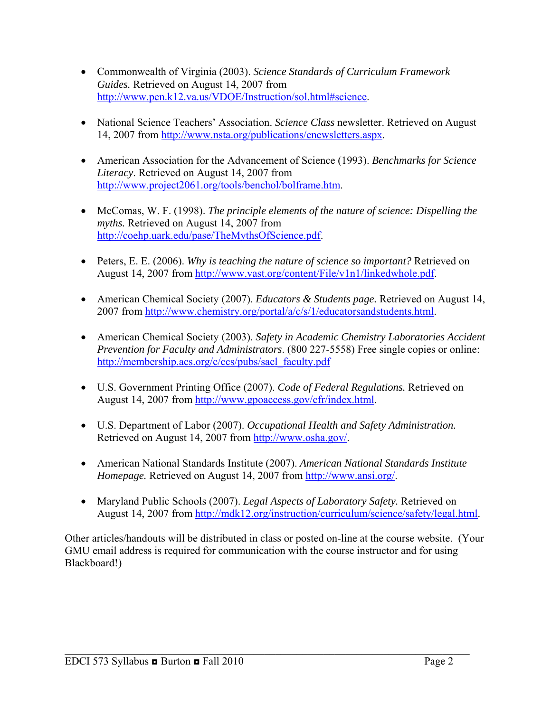- Commonwealth of Virginia (2003). *Science Standards of Curriculum Framework Guides.* Retrieved on August 14, 2007 from [http://www.pen.k12.va.us/VDOE/Instruction/sol.html#science.](http://www.pen.k12.va.us/VDOE/Instruction/sol.html#science)
- National Science Teachers' Association. *Science Class* newsletter. Retrieved on August 14, 2007 from [http://www.nsta.org/publications/enewsletters.aspx.](http://www.nsta.org/publications/enewsletters.aspx)
- American Association for the Advancement of Science (1993). *Benchmarks for Science Literacy*. Retrieved on August 14, 2007 from <http://www.project2061.org/tools/benchol/bolframe.htm>.
- McComas, W. F. (1998). *The principle elements of the nature of science: Dispelling the myths.* Retrieved on August 14, 2007 from <http://coehp.uark.edu/pase/TheMythsOfScience.pdf>.
- Peters, E. E. (2006). *Why is teaching the nature of science so important?* Retrieved on August 14, 2007 from [http://www.vast.org/content/File/v1n1/linkedwhole.pdf.](http://www.vast.org/content/File/v1n1/linkedwhole.pdf)
- American Chemical Society (2007). *Educators & Students page.* Retrieved on August 14, 2007 from<http://www.chemistry.org/portal/a/c/s/1/educatorsandstudents.html>.
- American Chemical Society (2003). *Safety in Academic Chemistry Laboratories Accident Prevention for Faculty and Administrators*. (800 227-5558) Free single copies or online: [http://membership.acs.org/c/ccs/pubs/sacl\\_faculty.pdf](http://membership.acs.org/c/ccs/pubs/sacl_faculty.pdf)
- U.S. Government Printing Office (2007). *Code of Federal Regulations.* Retrieved on August 14, 2007 from [http://www.gpoaccess.gov/cfr/index.html.](http://www.gpoaccess.gov/cfr/index.html)
- U.S. Department of Labor (2007). *Occupational Health and Safety Administration.*  Retrieved on August 14, 2007 from [http://www.osha.gov/.](http://www.osha.gov/)
- American National Standards Institute (2007). *American National Standards Institute Homepage.* Retrieved on August 14, 2007 from [http://www.ansi.org/.](http://www.ansi.org/)
- Maryland Public Schools (2007). *Legal Aspects of Laboratory Safety.* Retrieved on August 14, 2007 from [http://mdk12.org/instruction/curriculum/science/safety/legal.html.](http://mdk12.org/instruction/curriculum/science/safety/legal.html)

Other articles/handouts will be distributed in class or posted on-line at the course website. (Your GMU email address is required for communication with the course instructor and for using Blackboard!)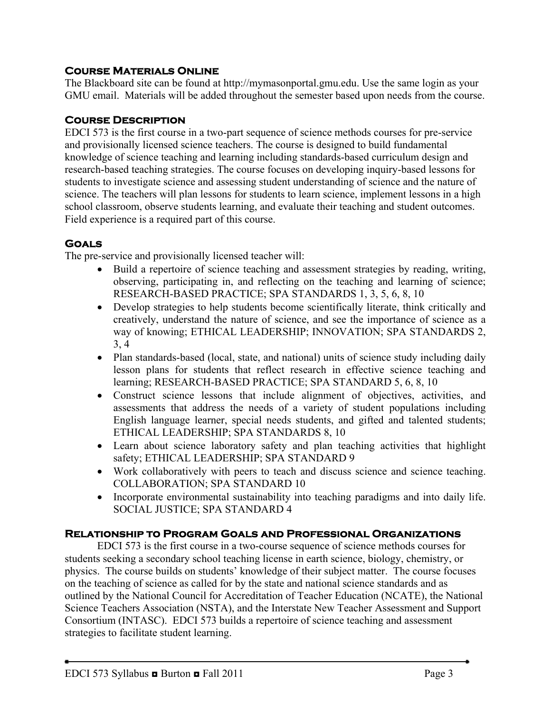## **Course Materials Online**

The Blackboard site can be found at http://mymasonportal.gmu.edu. Use the same login as your GMU email. Materials will be added throughout the semester based upon needs from the course.

### **Course Description**

EDCI 573 is the first course in a two-part sequence of science methods courses for pre-service and provisionally licensed science teachers. The course is designed to build fundamental knowledge of science teaching and learning including standards-based curriculum design and research-based teaching strategies. The course focuses on developing inquiry-based lessons for students to investigate science and assessing student understanding of science and the nature of science. The teachers will plan lessons for students to learn science, implement lessons in a high school classroom, observe students learning, and evaluate their teaching and student outcomes. Field experience is a required part of this course.

## **Goals**

The pre-service and provisionally licensed teacher will:

- Build a repertoire of science teaching and assessment strategies by reading, writing, observing, participating in, and reflecting on the teaching and learning of science; RESEARCH-BASED PRACTICE; SPA STANDARDS 1, 3, 5, 6, 8, 10
- Develop strategies to help students become scientifically literate, think critically and creatively, understand the nature of science, and see the importance of science as a way of knowing; ETHICAL LEADERSHIP; INNOVATION; SPA STANDARDS 2, 3, 4
- Plan standards-based (local, state, and national) units of science study including daily lesson plans for students that reflect research in effective science teaching and learning; RESEARCH-BASED PRACTICE; SPA STANDARD 5, 6, 8, 10
- Construct science lessons that include alignment of objectives, activities, and assessments that address the needs of a variety of student populations including English language learner, special needs students, and gifted and talented students; ETHICAL LEADERSHIP; SPA STANDARDS 8, 10
- Learn about science laboratory safety and plan teaching activities that highlight safety; ETHICAL LEADERSHIP; SPA STANDARD 9
- Work collaboratively with peers to teach and discuss science and science teaching. COLLABORATION; SPA STANDARD 10
- Incorporate environmental sustainability into teaching paradigms and into daily life. SOCIAL JUSTICE; SPA STANDARD 4

## **Relationship to Program Goals and Professional Organizations**

EDCI 573 is the first course in a two-course sequence of science methods courses for students seeking a secondary school teaching license in earth science, biology, chemistry, or physics. The course builds on students' knowledge of their subject matter. The course focuses on the teaching of science as called for by the state and national science standards and as outlined by the National Council for Accreditation of Teacher Education (NCATE), the National Science Teachers Association (NSTA), and the Interstate New Teacher Assessment and Support Consortium (INTASC). EDCI 573 builds a repertoire of science teaching and assessment strategies to facilitate student learning.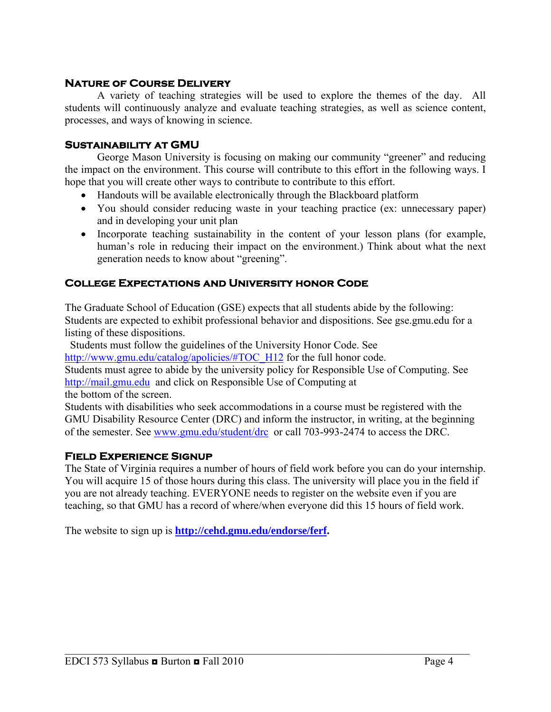### **Nature of Course Delivery**

 A variety of teaching strategies will be used to explore the themes of the day. All students will continuously analyze and evaluate teaching strategies, as well as science content, processes, and ways of knowing in science.

### **Sustainability at GMU**

 George Mason University is focusing on making our community "greener" and reducing the impact on the environment. This course will contribute to this effort in the following ways. I hope that you will create other ways to contribute to contribute to this effort.

- Handouts will be available electronically through the Blackboard platform
- You should consider reducing waste in your teaching practice (ex: unnecessary paper) and in developing your unit plan
- Incorporate teaching sustainability in the content of your lesson plans (for example, human's role in reducing their impact on the environment.) Think about what the next generation needs to know about "greening".

### **College Expectations and University honor Code**

The Graduate School of Education (GSE) expects that all students abide by the following: Students are expected to exhibit professional behavior and dispositions. See gse.gmu.edu for a listing of these dispositions.

Students must follow the guidelines of the University Honor Code. See

[http://www.gmu.edu/catalog/apolicies/#TOC\\_H12](http://www.gmu.edu/catalog/apolicies/#TOC_H12) for the full honor code.

Students must agree to abide by the university policy for Responsible Use of Computing. See [http://mail.gmu.edu](http://mail.gmu.edu/) and click on Responsible Use of Computing at

the bottom of the screen.

Students with disabilities who seek accommodations in a course must be registered with the GMU Disability Resource Center (DRC) and inform the instructor, in writing, at the beginning of the semester. See [www.gmu.edu/student/drc](http://www.gmu.edu/student/drc) or call 703-993-2474 to access the DRC.

### **Field Experience Signup**

The State of Virginia requires a number of hours of field work before you can do your internship. You will acquire 15 of those hours during this class. The university will place you in the field if you are not already teaching. EVERYONE needs to register on the website even if you are teaching, so that GMU has a record of where/when everyone did this 15 hours of field work.

 $\mathcal{L}_\mathcal{L} = \mathcal{L}_\mathcal{L} = \mathcal{L}_\mathcal{L} = \mathcal{L}_\mathcal{L} = \mathcal{L}_\mathcal{L} = \mathcal{L}_\mathcal{L} = \mathcal{L}_\mathcal{L} = \mathcal{L}_\mathcal{L} = \mathcal{L}_\mathcal{L} = \mathcal{L}_\mathcal{L} = \mathcal{L}_\mathcal{L} = \mathcal{L}_\mathcal{L} = \mathcal{L}_\mathcal{L} = \mathcal{L}_\mathcal{L} = \mathcal{L}_\mathcal{L} = \mathcal{L}_\mathcal{L} = \mathcal{L}_\mathcal{L}$ 

The website to sign up is **<http://cehd.gmu.edu/endorse/ferf>.**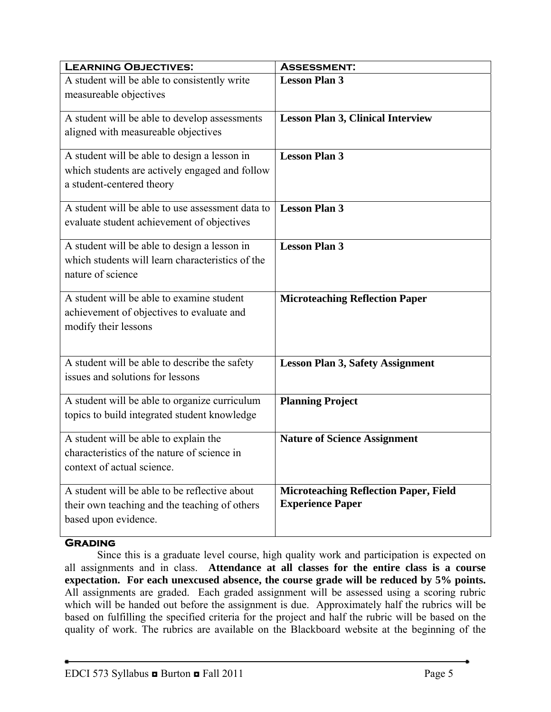| <b>LEARNING OBJECTIVES:</b>                                                            | <b>ASSESSMENT:</b>                                                      |
|----------------------------------------------------------------------------------------|-------------------------------------------------------------------------|
| A student will be able to consistently write                                           | <b>Lesson Plan 3</b>                                                    |
| measureable objectives                                                                 |                                                                         |
| A student will be able to develop assessments                                          | <b>Lesson Plan 3, Clinical Interview</b>                                |
| aligned with measureable objectives                                                    |                                                                         |
| A student will be able to design a lesson in                                           | <b>Lesson Plan 3</b>                                                    |
| which students are actively engaged and follow<br>a student-centered theory            |                                                                         |
|                                                                                        |                                                                         |
| A student will be able to use assessment data to                                       | <b>Lesson Plan 3</b>                                                    |
| evaluate student achievement of objectives                                             |                                                                         |
| A student will be able to design a lesson in                                           | <b>Lesson Plan 3</b>                                                    |
| which students will learn characteristics of the<br>nature of science                  |                                                                         |
|                                                                                        |                                                                         |
| A student will be able to examine student<br>achievement of objectives to evaluate and | <b>Microteaching Reflection Paper</b>                                   |
| modify their lessons                                                                   |                                                                         |
|                                                                                        |                                                                         |
| A student will be able to describe the safety                                          | <b>Lesson Plan 3, Safety Assignment</b>                                 |
| issues and solutions for lessons                                                       |                                                                         |
| A student will be able to organize curriculum                                          | <b>Planning Project</b>                                                 |
| topics to build integrated student knowledge                                           |                                                                         |
| A student will be able to explain the                                                  | <b>Nature of Science Assignment</b>                                     |
| characteristics of the nature of science in<br>context of actual science.              |                                                                         |
|                                                                                        |                                                                         |
| A student will be able to be reflective about                                          | <b>Microteaching Reflection Paper, Field</b><br><b>Experience Paper</b> |
| their own teaching and the teaching of others<br>based upon evidence.                  |                                                                         |
|                                                                                        |                                                                         |

## **Grading**

 Since this is a graduate level course, high quality work and participation is expected on all assignments and in class. **Attendance at all classes for the entire class is a course expectation. For each unexcused absence, the course grade will be reduced by 5% points.** All assignments are graded. Each graded assignment will be assessed using a scoring rubric which will be handed out before the assignment is due. Approximately half the rubrics will be based on fulfilling the specified criteria for the project and half the rubric will be based on the quality of work. The rubrics are available on the Blackboard website at the beginning of the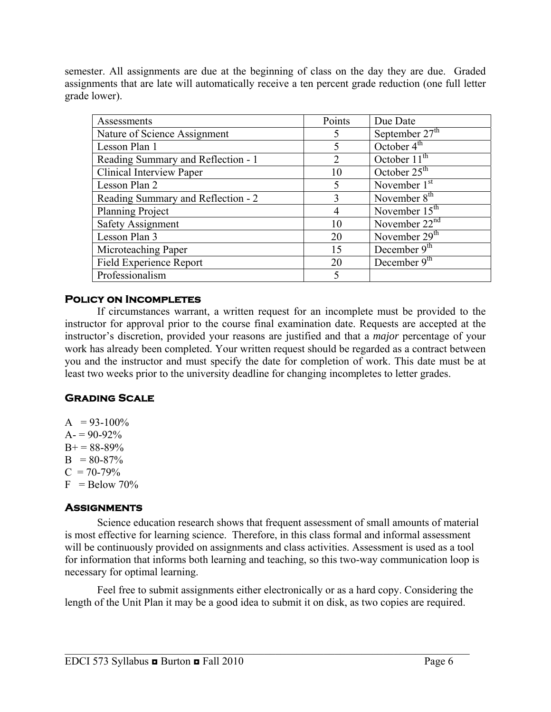semester. All assignments are due at the beginning of class on the day they are due. Graded assignments that are late will automatically receive a ten percent grade reduction (one full letter grade lower).

| Assessments                        | Points                      | Due Date                   |
|------------------------------------|-----------------------------|----------------------------|
| Nature of Science Assignment       | 5                           | September $27^{\text{th}}$ |
| Lesson Plan 1                      | 5                           | October $4th$              |
| Reading Summary and Reflection - 1 | $\mathcal{D}_{\mathcal{L}}$ | October 11 <sup>th</sup>   |
| Clinical Interview Paper           | 10                          | October $25th$             |
| Lesson Plan 2                      | 5                           | November 1 <sup>st</sup>   |
| Reading Summary and Reflection - 2 | 3                           | November $8th$             |
| Planning Project                   | 4                           | November $15th$            |
| <b>Safety Assignment</b>           | 10                          | November $22nd$            |
| Lesson Plan 3                      | 20                          | November 29 <sup>th</sup>  |
| Microteaching Paper                | 15                          | December $9th$             |
| Field Experience Report            | 20                          | December 9 <sup>th</sup>   |
| Professionalism                    | $\varsigma$                 |                            |

## **Policy on Incompletes**

If circumstances warrant, a written request for an incomplete must be provided to the instructor for approval prior to the course final examination date. Requests are accepted at the instructor's discretion, provided your reasons are justified and that a *major* percentage of your work has already been completed. Your written request should be regarded as a contract between you and the instructor and must specify the date for completion of work. This date must be at least two weeks prior to the university deadline for changing incompletes to letter grades.

## **Grading Scale**

 $A = 93-100\%$  $A = 90-92\%$  $B+= 88-89\%$  $B = 80-87%$  $C = 70-79%$  $F =$ Below 70%

# **Assignments**

 Science education research shows that frequent assessment of small amounts of material is most effective for learning science. Therefore, in this class formal and informal assessment will be continuously provided on assignments and class activities. Assessment is used as a tool for information that informs both learning and teaching, so this two-way communication loop is necessary for optimal learning.

 Feel free to submit assignments either electronically or as a hard copy. Considering the length of the Unit Plan it may be a good idea to submit it on disk, as two copies are required.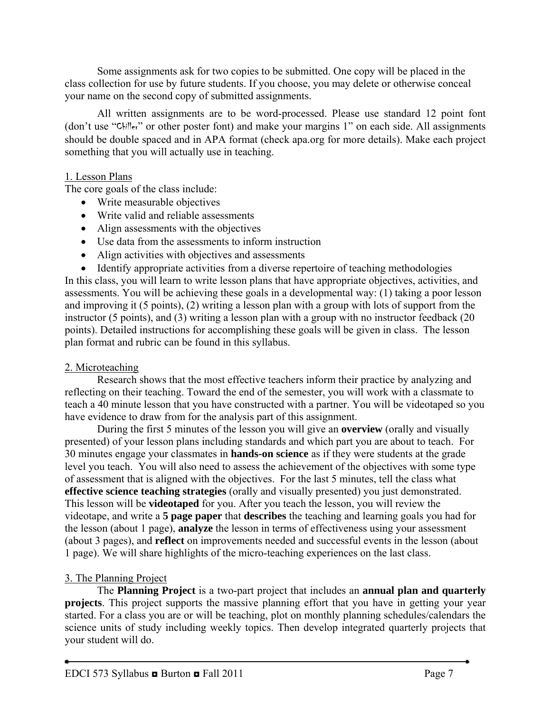Some assignments ask for two copies to be submitted. One copy will be placed in the class collection for use by future students. If you choose, you may delete or otherwise conceal your name on the second copy of submitted assignments.

 All written assignments are to be word-processed. Please use standard 12 point font (don't use "Chiller" or other poster font) and make your margins 1" on each side. All assignments should be double spaced and in APA format (check apa.org for more details). Make each project something that you will actually use in teaching.

## 1. Lesson Plans

The core goals of the class include:

- Write measurable objectives
- Write valid and reliable assessments
- Align assessments with the objectives
- Use data from the assessments to inform instruction
- Align activities with objectives and assessments

• Identify appropriate activities from a diverse repertoire of teaching methodologies In this class, you will learn to write lesson plans that have appropriate objectives, activities, and assessments. You will be achieving these goals in a developmental way: (1) taking a poor lesson and improving it (5 points), (2) writing a lesson plan with a group with lots of support from the instructor (5 points), and (3) writing a lesson plan with a group with no instructor feedback (20 points). Detailed instructions for accomplishing these goals will be given in class. The lesson plan format and rubric can be found in this syllabus.

# 2. Microteaching

 Research shows that the most effective teachers inform their practice by analyzing and reflecting on their teaching. Toward the end of the semester, you will work with a classmate to teach a 40 minute lesson that you have constructed with a partner. You will be videotaped so you have evidence to draw from for the analysis part of this assignment.

During the first 5 minutes of the lesson you will give an **overview** (orally and visually presented) of your lesson plans including standards and which part you are about to teach. For 30 minutes engage your classmates in **hands-on science** as if they were students at the grade level you teach. You will also need to assess the achievement of the objectives with some type of assessment that is aligned with the objectives. For the last 5 minutes, tell the class what **effective science teaching strategies** (orally and visually presented) you just demonstrated. This lesson will be **videotaped** for you. After you teach the lesson, you will review the videotape, and write a **5 page paper** that **describes** the teaching and learning goals you had for the lesson (about 1 page), **analyze** the lesson in terms of effectiveness using your assessment (about 3 pages), and **reflect** on improvements needed and successful events in the lesson (about 1 page). We will share highlights of the micro-teaching experiences on the last class.

# 3. The Planning Project

 The **Planning Project** is a two-part project that includes an **annual plan and quarterly projects**. This project supports the massive planning effort that you have in getting your year started. For a class you are or will be teaching, plot on monthly planning schedules/calendars the science units of study including weekly topics. Then develop integrated quarterly projects that your student will do.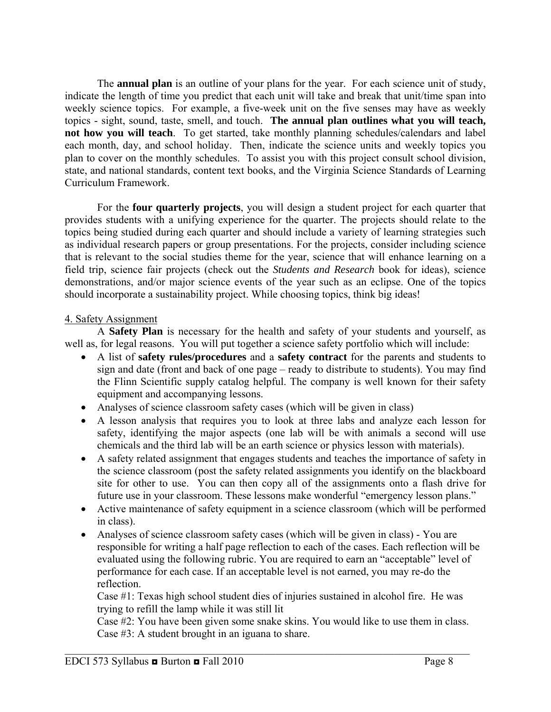The **annual plan** is an outline of your plans for the year. For each science unit of study, indicate the length of time you predict that each unit will take and break that unit/time span into weekly science topics. For example, a five-week unit on the five senses may have as weekly topics - sight, sound, taste, smell, and touch. **The annual plan outlines what you will teach, not how you will teach**. To get started, take monthly planning schedules/calendars and label each month, day, and school holiday. Then, indicate the science units and weekly topics you plan to cover on the monthly schedules. To assist you with this project consult school division, state, and national standards, content text books, and the Virginia Science Standards of Learning Curriculum Framework.

For the **four quarterly projects**, you will design a student project for each quarter that provides students with a unifying experience for the quarter. The projects should relate to the topics being studied during each quarter and should include a variety of learning strategies such as individual research papers or group presentations. For the projects, consider including science that is relevant to the social studies theme for the year, science that will enhance learning on a field trip, science fair projects (check out the *Students and Research* book for ideas), science demonstrations, and/or major science events of the year such as an eclipse. One of the topics should incorporate a sustainability project. While choosing topics, think big ideas!

### 4. Safety Assignment

A **Safety Plan** is necessary for the health and safety of your students and yourself, as well as, for legal reasons. You will put together a science safety portfolio which will include:

- A list of **safety rules/procedures** and a **safety contract** for the parents and students to sign and date (front and back of one page – ready to distribute to students). You may find the Flinn Scientific supply catalog helpful. The company is well known for their safety equipment and accompanying lessons.
- Analyses of science classroom safety cases (which will be given in class)
- A lesson analysis that requires you to look at three labs and analyze each lesson for safety, identifying the major aspects (one lab will be with animals a second will use chemicals and the third lab will be an earth science or physics lesson with materials).
- A safety related assignment that engages students and teaches the importance of safety in the science classroom (post the safety related assignments you identify on the blackboard site for other to use. You can then copy all of the assignments onto a flash drive for future use in your classroom. These lessons make wonderful "emergency lesson plans."
- Active maintenance of safety equipment in a science classroom (which will be performed in class).
- Analyses of science classroom safety cases (which will be given in class) You are responsible for writing a half page reflection to each of the cases. Each reflection will be evaluated using the following rubric. You are required to earn an "acceptable" level of performance for each case. If an acceptable level is not earned, you may re-do the reflection.

Case #1: Texas high school student dies of injuries sustained in alcohol fire. He was trying to refill the lamp while it was still lit

Case #2: You have been given some snake skins. You would like to use them in class. Case #3: A student brought in an iguana to share.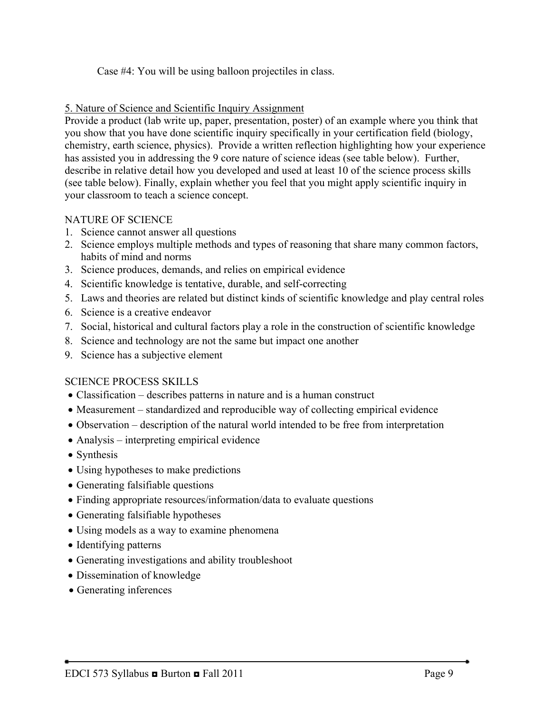Case #4: You will be using balloon projectiles in class.

### 5. Nature of Science and Scientific Inquiry Assignment

Provide a product (lab write up, paper, presentation, poster) of an example where you think that you show that you have done scientific inquiry specifically in your certification field (biology, chemistry, earth science, physics). Provide a written reflection highlighting how your experience has assisted you in addressing the 9 core nature of science ideas (see table below). Further, describe in relative detail how you developed and used at least 10 of the science process skills (see table below). Finally, explain whether you feel that you might apply scientific inquiry in your classroom to teach a science concept.

## NATURE OF SCIENCE

- 1. Science cannot answer all questions
- 2. Science employs multiple methods and types of reasoning that share many common factors, habits of mind and norms
- 3. Science produces, demands, and relies on empirical evidence
- 4. Scientific knowledge is tentative, durable, and self-correcting
- 5. Laws and theories are related but distinct kinds of scientific knowledge and play central roles
- 6. Science is a creative endeavor
- 7. Social, historical and cultural factors play a role in the construction of scientific knowledge
- 8. Science and technology are not the same but impact one another
- 9. Science has a subjective element

## SCIENCE PROCESS SKILLS

- Classification describes patterns in nature and is a human construct
- Measurement standardized and reproducible way of collecting empirical evidence
- Observation description of the natural world intended to be free from interpretation
- Analysis interpreting empirical evidence
- Synthesis
- Using hypotheses to make predictions
- Generating falsifiable questions
- Finding appropriate resources/information/data to evaluate questions
- Generating falsifiable hypotheses
- Using models as a way to examine phenomena
- Identifying patterns
- Generating investigations and ability troubleshoot
- Dissemination of knowledge
- Generating inferences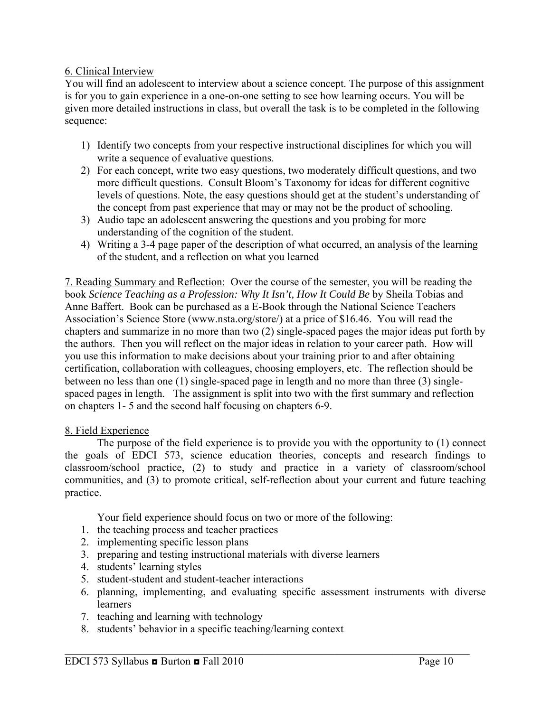### 6. Clinical Interview

You will find an adolescent to interview about a science concept. The purpose of this assignment is for you to gain experience in a one-on-one setting to see how learning occurs. You will be given more detailed instructions in class, but overall the task is to be completed in the following sequence:

- 1) Identify two concepts from your respective instructional disciplines for which you will write a sequence of evaluative questions.
- 2) For each concept, write two easy questions, two moderately difficult questions, and two more difficult questions. Consult Bloom's Taxonomy for ideas for different cognitive levels of questions. Note, the easy questions should get at the student's understanding of the concept from past experience that may or may not be the product of schooling.
- 3) Audio tape an adolescent answering the questions and you probing for more understanding of the cognition of the student.
- 4) Writing a 3-4 page paper of the description of what occurred, an analysis of the learning of the student, and a reflection on what you learned

7. Reading Summary and Reflection: Over the course of the semester, you will be reading the book *Science Teaching as a Profession: Why It Isn't, How It Could Be* by Sheila Tobias and Anne Baffert. Book can be purchased as a E-Book through the National Science Teachers Association's Science Store (www.nsta.org/store/) at a price of \$16.46. You will read the chapters and summarize in no more than two (2) single-spaced pages the major ideas put forth by the authors. Then you will reflect on the major ideas in relation to your career path. How will you use this information to make decisions about your training prior to and after obtaining certification, collaboration with colleagues, choosing employers, etc. The reflection should be between no less than one (1) single-spaced page in length and no more than three (3) singlespaced pages in length. The assignment is split into two with the first summary and reflection on chapters 1- 5 and the second half focusing on chapters 6-9.

### 8. Field Experience

 The purpose of the field experience is to provide you with the opportunity to (1) connect the goals of EDCI 573, science education theories, concepts and research findings to classroom/school practice, (2) to study and practice in a variety of classroom/school communities, and (3) to promote critical, self-reflection about your current and future teaching practice.

Your field experience should focus on two or more of the following:

- 1. the teaching process and teacher practices
- 2. implementing specific lesson plans
- 3. preparing and testing instructional materials with diverse learners
- 4. students' learning styles
- 5. student-student and student-teacher interactions
- 6. planning, implementing, and evaluating specific assessment instruments with diverse learners

- 7. teaching and learning with technology
- 8. students' behavior in a specific teaching/learning context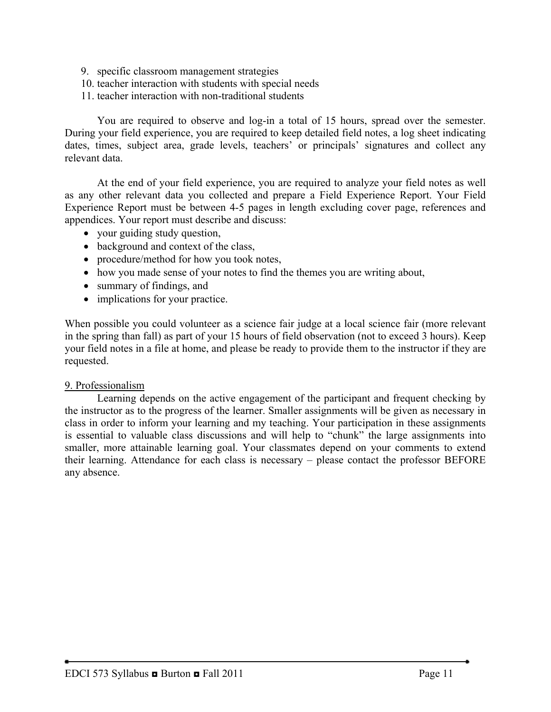- 9. specific classroom management strategies
- 10. teacher interaction with students with special needs
- 11. teacher interaction with non-traditional students

 You are required to observe and log-in a total of 15 hours, spread over the semester. During your field experience, you are required to keep detailed field notes, a log sheet indicating dates, times, subject area, grade levels, teachers' or principals' signatures and collect any relevant data.

 At the end of your field experience, you are required to analyze your field notes as well as any other relevant data you collected and prepare a Field Experience Report. Your Field Experience Report must be between 4-5 pages in length excluding cover page, references and appendices. Your report must describe and discuss:

- your guiding study question,
- background and context of the class,
- procedure/method for how you took notes,
- how you made sense of your notes to find the themes you are writing about,
- summary of findings, and
- implications for your practice.

When possible you could volunteer as a science fair judge at a local science fair (more relevant in the spring than fall) as part of your 15 hours of field observation (not to exceed 3 hours). Keep your field notes in a file at home, and please be ready to provide them to the instructor if they are requested.

#### 9. Professionalism

 Learning depends on the active engagement of the participant and frequent checking by the instructor as to the progress of the learner. Smaller assignments will be given as necessary in class in order to inform your learning and my teaching. Your participation in these assignments is essential to valuable class discussions and will help to "chunk" the large assignments into smaller, more attainable learning goal. Your classmates depend on your comments to extend their learning. Attendance for each class is necessary – please contact the professor BEFORE any absence.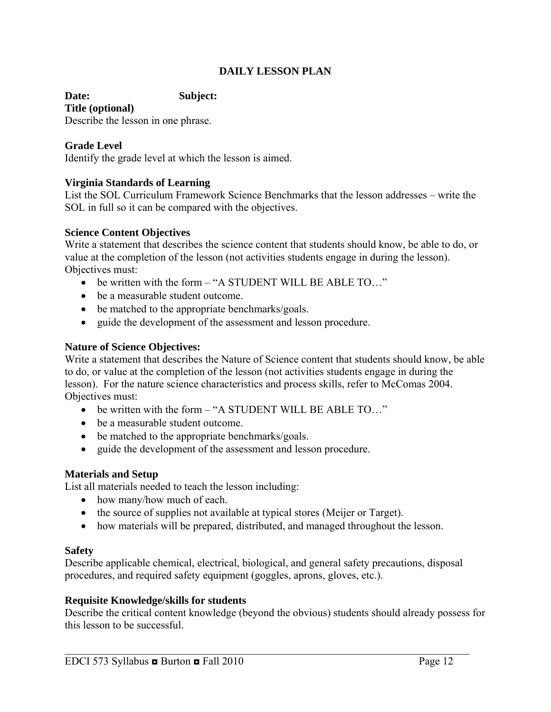### **DAILY LESSON PLAN**

**Date: Subject: Title (optional)** 

Describe the lesson in one phrase.

### **Grade Level**

Identify the grade level at which the lesson is aimed.

#### **Virginia Standards of Learning**

List the SOL Curriculum Framework Science Benchmarks that the lesson addresses – write the SOL in full so it can be compared with the objectives.

#### **Science Content Objectives**

Write a statement that describes the science content that students should know, be able to do, or value at the completion of the lesson (not activities students engage in during the lesson). Objectives must:

- be written with the form "A STUDENT WILL BE ABLE TO..."
- be a measurable student outcome.
- be matched to the appropriate benchmarks/goals.
- guide the development of the assessment and lesson procedure.

#### **Nature of Science Objectives:**

Write a statement that describes the Nature of Science content that students should know, be able to do, or value at the completion of the lesson (not activities students engage in during the lesson). For the nature science characteristics and process skills, refer to McComas 2004. Objectives must:

- be written with the form "A STUDENT WILL BE ABLE TO..."
- be a measurable student outcome.
- be matched to the appropriate benchmarks/goals.
- guide the development of the assessment and lesson procedure.

#### **Materials and Setup**

List all materials needed to teach the lesson including:

- how many/how much of each.
- the source of supplies not available at typical stores (Meijer or Target).
- how materials will be prepared, distributed, and managed throughout the lesson.

#### **Safety**

Describe applicable chemical, electrical, biological, and general safety precautions, disposal procedures, and required safety equipment (goggles, aprons, gloves, etc.).

#### **Requisite Knowledge/skills for students**

Describe the critical content knowledge (beyond the obvious) students should already possess for this lesson to be successful.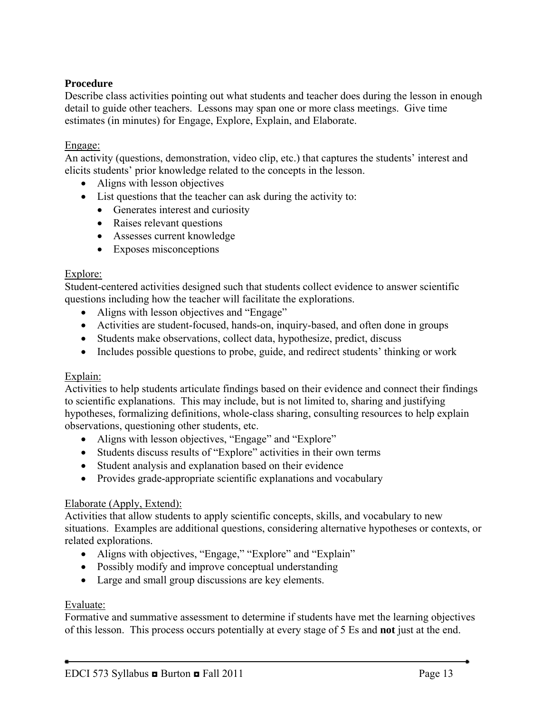### **Procedure**

Describe class activities pointing out what students and teacher does during the lesson in enough detail to guide other teachers. Lessons may span one or more class meetings. Give time estimates (in minutes) for Engage, Explore, Explain, and Elaborate.

#### Engage:

An activity (questions, demonstration, video clip, etc.) that captures the students' interest and elicits students' prior knowledge related to the concepts in the lesson.

- Aligns with lesson objectives
- List questions that the teacher can ask during the activity to:
	- Generates interest and curiosity
	- Raises relevant questions
	- Assesses current knowledge
	- Exposes misconceptions

#### Explore:

Student-centered activities designed such that students collect evidence to answer scientific questions including how the teacher will facilitate the explorations.

- Aligns with lesson objectives and "Engage"
- Activities are student-focused, hands-on, inquiry-based, and often done in groups
- Students make observations, collect data, hypothesize, predict, discuss
- Includes possible questions to probe, guide, and redirect students' thinking or work

#### Explain:

Activities to help students articulate findings based on their evidence and connect their findings to scientific explanations. This may include, but is not limited to, sharing and justifying hypotheses, formalizing definitions, whole-class sharing, consulting resources to help explain observations, questioning other students, etc.

- Aligns with lesson objectives, "Engage" and "Explore"
- Students discuss results of "Explore" activities in their own terms
- Student analysis and explanation based on their evidence
- Provides grade-appropriate scientific explanations and vocabulary

#### Elaborate (Apply, Extend):

Activities that allow students to apply scientific concepts, skills, and vocabulary to new situations. Examples are additional questions, considering alternative hypotheses or contexts, or related explorations.

- Aligns with objectives, "Engage," "Explore" and "Explain"
- Possibly modify and improve conceptual understanding
- Large and small group discussions are key elements.

#### Evaluate:

Formative and summative assessment to determine if students have met the learning objectives of this lesson. This process occurs potentially at every stage of 5 Es and **not** just at the end.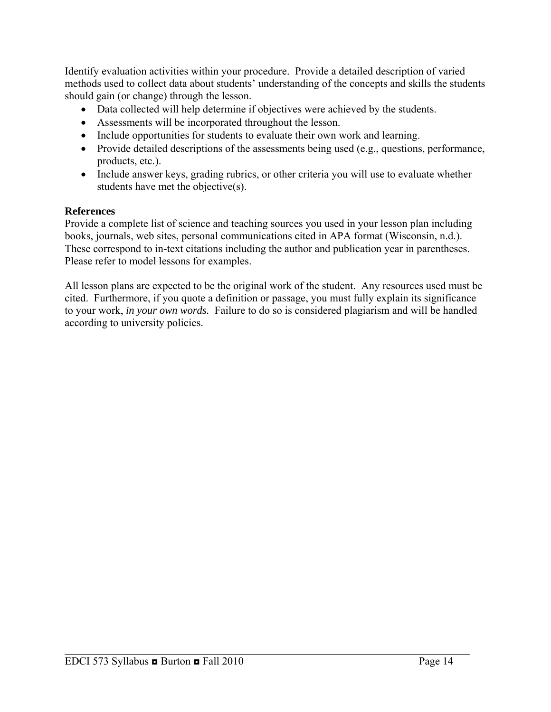Identify evaluation activities within your procedure. Provide a detailed description of varied methods used to collect data about students' understanding of the concepts and skills the students should gain (or change) through the lesson.

- Data collected will help determine if objectives were achieved by the students.
- Assessments will be incorporated throughout the lesson.
- Include opportunities for students to evaluate their own work and learning.
- Provide detailed descriptions of the assessments being used (e.g., questions, performance, products, etc.).
- Include answer keys, grading rubrics, or other criteria you will use to evaluate whether students have met the objective(s).

### **References**

Provide a complete list of science and teaching sources you used in your lesson plan including books, journals, web sites, personal communications cited in APA format (Wisconsin, n.d.). These correspond to in-text citations including the author and publication year in parentheses. Please refer to model lessons for examples.

All lesson plans are expected to be the original work of the student. Any resources used must be cited. Furthermore, if you quote a definition or passage, you must fully explain its significance to your work, *in your own words.* Failure to do so is considered plagiarism and will be handled according to university policies.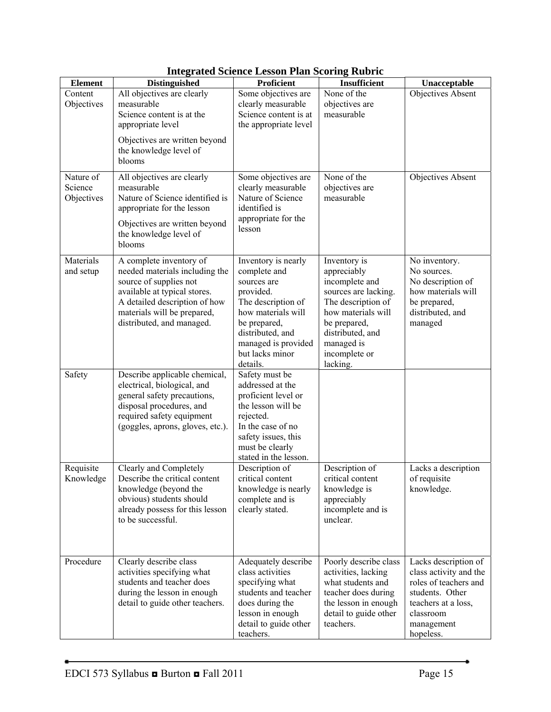| <b>Element</b>                     | <b>Distinguished</b>                                                                                                                                                                                             | Proficient                                                                                                                                                                                            | Insufficient                                                                                                                                                                                     | Unacceptable                                                                                                                                              |
|------------------------------------|------------------------------------------------------------------------------------------------------------------------------------------------------------------------------------------------------------------|-------------------------------------------------------------------------------------------------------------------------------------------------------------------------------------------------------|--------------------------------------------------------------------------------------------------------------------------------------------------------------------------------------------------|-----------------------------------------------------------------------------------------------------------------------------------------------------------|
| Content<br>Objectives              | All objectives are clearly<br>measurable<br>Science content is at the<br>appropriate level                                                                                                                       | Some objectives are<br>clearly measurable<br>Science content is at<br>the appropriate level                                                                                                           | None of the<br>objectives are<br>measurable                                                                                                                                                      | Objectives Absent                                                                                                                                         |
|                                    | Objectives are written beyond<br>the knowledge level of<br>blooms                                                                                                                                                |                                                                                                                                                                                                       |                                                                                                                                                                                                  |                                                                                                                                                           |
| Nature of<br>Science<br>Objectives | All objectives are clearly<br>measurable<br>Nature of Science identified is<br>appropriate for the lesson                                                                                                        | Some objectives are<br>clearly measurable<br>Nature of Science<br>identified is<br>appropriate for the                                                                                                | None of the<br>objectives are<br>measurable                                                                                                                                                      | Objectives Absent                                                                                                                                         |
|                                    | Objectives are written beyond<br>the knowledge level of<br>blooms                                                                                                                                                | lesson                                                                                                                                                                                                |                                                                                                                                                                                                  |                                                                                                                                                           |
| Materials<br>and setup             | A complete inventory of<br>needed materials including the<br>source of supplies not<br>available at typical stores.<br>A detailed description of how<br>materials will be prepared,<br>distributed, and managed. | Inventory is nearly<br>complete and<br>sources are<br>provided.<br>The description of<br>how materials will<br>be prepared,<br>distributed, and<br>managed is provided<br>but lacks minor<br>details. | Inventory is<br>appreciably<br>incomplete and<br>sources are lacking.<br>The description of<br>how materials will<br>be prepared,<br>distributed, and<br>managed is<br>incomplete or<br>lacking. | No inventory.<br>No sources.<br>No description of<br>how materials will<br>be prepared,<br>distributed, and<br>managed                                    |
| Safety                             | Describe applicable chemical,<br>electrical, biological, and<br>general safety precautions,<br>disposal procedures, and<br>required safety equipment<br>(goggles, aprons, gloves, etc.).                         | Safety must be<br>addressed at the<br>proficient level or<br>the lesson will be<br>rejected.<br>In the case of no<br>safety issues, this<br>must be clearly<br>stated in the lesson.                  |                                                                                                                                                                                                  |                                                                                                                                                           |
| Requisite<br>Knowledge             | Clearly and Completely<br>Describe the critical content<br>knowledge (beyond the<br>obvious) students should<br>already possess for this lesson<br>to be successful.                                             | Description of<br>critical content<br>knowledge is nearly<br>complete and is<br>clearly stated.                                                                                                       | Description of<br>critical content<br>knowledge is<br>appreciably<br>incomplete and is<br>unclear.                                                                                               | Lacks a description<br>of requisite<br>knowledge.                                                                                                         |
| Procedure                          | Clearly describe class<br>activities specifying what<br>students and teacher does<br>during the lesson in enough<br>detail to guide other teachers.                                                              | Adequately describe<br>class activities<br>specifying what<br>students and teacher<br>does during the<br>lesson in enough<br>detail to guide other<br>teachers.                                       | Poorly describe class<br>activities, lacking<br>what students and<br>teacher does during<br>the lesson in enough<br>detail to guide other<br>teachers.                                           | Lacks description of<br>class activity and the<br>roles of teachers and<br>students. Other<br>teachers at a loss,<br>classroom<br>management<br>hopeless. |

### **Integrated Science Lesson Plan Scoring Rubric**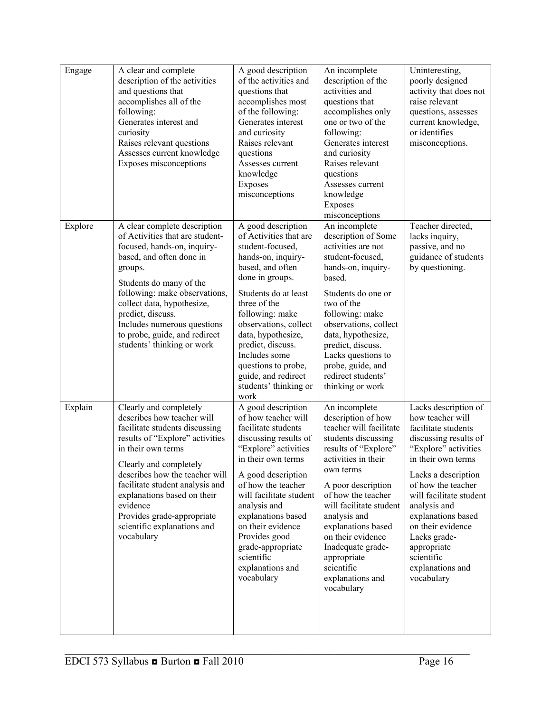| Engage  | A clear and complete<br>description of the activities<br>and questions that<br>accomplishes all of the<br>following:<br>Generates interest and<br>curiosity<br>Raises relevant questions<br>Assesses current knowledge<br>Exposes misconceptions                                                                                                                     | A good description<br>of the activities and<br>questions that<br>accomplishes most<br>of the following:<br>Generates interest<br>and curiosity<br>Raises relevant<br>questions<br>Assesses current<br>knowledge<br>Exposes<br>misconceptions                                                                                                                              | An incomplete<br>description of the<br>activities and<br>questions that<br>accomplishes only<br>one or two of the<br>following:<br>Generates interest<br>and curiosity<br>Raises relevant<br>questions<br>Assesses current<br>knowledge<br>Exposes<br>misconceptions                                                                                                    | Uninteresting,<br>poorly designed<br>activity that does not<br>raise relevant<br>questions, assesses<br>current knowledge,<br>or identifies<br>misconceptions.                                                                                                                                                                                           |
|---------|----------------------------------------------------------------------------------------------------------------------------------------------------------------------------------------------------------------------------------------------------------------------------------------------------------------------------------------------------------------------|---------------------------------------------------------------------------------------------------------------------------------------------------------------------------------------------------------------------------------------------------------------------------------------------------------------------------------------------------------------------------|-------------------------------------------------------------------------------------------------------------------------------------------------------------------------------------------------------------------------------------------------------------------------------------------------------------------------------------------------------------------------|----------------------------------------------------------------------------------------------------------------------------------------------------------------------------------------------------------------------------------------------------------------------------------------------------------------------------------------------------------|
| Explore | A clear complete description<br>of Activities that are student-<br>focused, hands-on, inquiry-<br>based, and often done in<br>groups.<br>Students do many of the<br>following: make observations,<br>collect data, hypothesize,<br>predict, discuss.<br>Includes numerous questions<br>to probe, guide, and redirect<br>students' thinking or work                   | $\overline{A}$ good description<br>of Activities that are<br>student-focused,<br>hands-on, inquiry-<br>based, and often<br>done in groups.<br>Students do at least<br>three of the<br>following: make<br>observations, collect<br>data, hypothesize,<br>predict, discuss.<br>Includes some<br>questions to probe,<br>guide, and redirect<br>students' thinking or<br>work | An incomplete<br>description of Some<br>activities are not<br>student-focused,<br>hands-on, inquiry-<br>based.<br>Students do one or<br>two of the<br>following: make<br>observations, collect<br>data, hypothesize,<br>predict, discuss.<br>Lacks questions to<br>probe, guide, and<br>redirect students'<br>thinking or work                                          | Teacher directed,<br>lacks inquiry,<br>passive, and no<br>guidance of students<br>by questioning.                                                                                                                                                                                                                                                        |
| Explain | Clearly and completely<br>describes how teacher will<br>facilitate students discussing<br>results of "Explore" activities<br>in their own terms<br>Clearly and completely<br>describes how the teacher will<br>facilitate student analysis and<br>explanations based on their<br>evidence<br>Provides grade-appropriate<br>scientific explanations and<br>vocabulary | A good description<br>of how teacher will<br>facilitate students<br>discussing results of<br>"Explore" activities<br>in their own terms<br>A good description<br>of how the teacher<br>will facilitate student<br>analysis and<br>explanations based<br>on their evidence<br>Provides good<br>grade-appropriate<br>scientific<br>explanations and<br>vocabulary           | An incomplete<br>description of how<br>teacher will facilitate<br>students discussing<br>results of "Explore"<br>activities in their<br>own terms<br>A poor description<br>of how the teacher<br>will facilitate student<br>analysis and<br>explanations based<br>on their evidence<br>Inadequate grade-<br>appropriate<br>scientific<br>explanations and<br>vocabulary | Lacks description of<br>how teacher will<br>facilitate students<br>discussing results of<br>"Explore" activities<br>in their own terms<br>Lacks a description<br>of how the teacher<br>will facilitate student<br>analysis and<br>explanations based<br>on their evidence<br>Lacks grade-<br>appropriate<br>scientific<br>explanations and<br>vocabulary |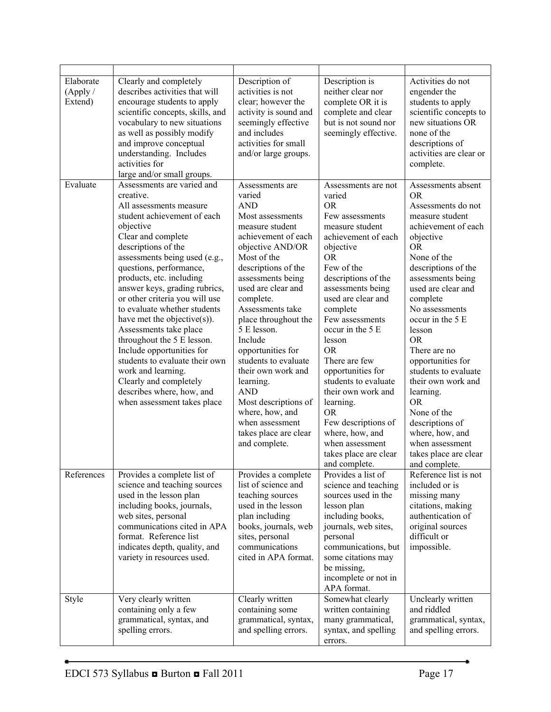| Elaborate<br>(Apply/<br>Extend) | Clearly and completely<br>describes activities that will<br>encourage students to apply<br>scientific concepts, skills, and<br>vocabulary to new situations<br>as well as possibly modify<br>and improve conceptual<br>understanding. Includes<br>activities for<br>large and/or small groups.                                                                                                                                                                                                                                                                                                                           | Description of<br>activities is not<br>clear; however the<br>activity is sound and<br>seemingly effective<br>and includes<br>activities for small<br>and/or large groups.                                                                                                                                                                                                                                                                                                                           | Description is<br>neither clear nor<br>complete OR it is<br>complete and clear<br>but is not sound nor<br>seemingly effective.                                                                                                                                                                                                                                                                                                                                                                                   | Activities do not<br>engender the<br>students to apply<br>scientific concepts to<br>new situations OR<br>none of the<br>descriptions of<br>activities are clear or<br>complete.                                                                                                                                                                                                                                                                                                                                    |
|---------------------------------|--------------------------------------------------------------------------------------------------------------------------------------------------------------------------------------------------------------------------------------------------------------------------------------------------------------------------------------------------------------------------------------------------------------------------------------------------------------------------------------------------------------------------------------------------------------------------------------------------------------------------|-----------------------------------------------------------------------------------------------------------------------------------------------------------------------------------------------------------------------------------------------------------------------------------------------------------------------------------------------------------------------------------------------------------------------------------------------------------------------------------------------------|------------------------------------------------------------------------------------------------------------------------------------------------------------------------------------------------------------------------------------------------------------------------------------------------------------------------------------------------------------------------------------------------------------------------------------------------------------------------------------------------------------------|--------------------------------------------------------------------------------------------------------------------------------------------------------------------------------------------------------------------------------------------------------------------------------------------------------------------------------------------------------------------------------------------------------------------------------------------------------------------------------------------------------------------|
| Evaluate                        | Assessments are varied and<br>creative.<br>All assessments measure<br>student achievement of each<br>objective<br>Clear and complete<br>descriptions of the<br>assessments being used (e.g.,<br>questions, performance,<br>products, etc. including<br>answer keys, grading rubrics,<br>or other criteria you will use<br>to evaluate whether students<br>have met the objective(s)).<br>Assessments take place<br>throughout the 5 E lesson.<br>Include opportunities for<br>students to evaluate their own<br>work and learning.<br>Clearly and completely<br>describes where, how, and<br>when assessment takes place | Assessments are<br>varied<br><b>AND</b><br>Most assessments<br>measure student<br>achievement of each<br>objective AND/OR<br>Most of the<br>descriptions of the<br>assessments being<br>used are clear and<br>complete.<br>Assessments take<br>place throughout the<br>5 E lesson.<br>Include<br>opportunities for<br>students to evaluate<br>their own work and<br>learning.<br><b>AND</b><br>Most descriptions of<br>where, how, and<br>when assessment<br>takes place are clear<br>and complete. | Assessments are not<br>varied<br><b>OR</b><br>Few assessments<br>measure student<br>achievement of each<br>objective<br><b>OR</b><br>Few of the<br>descriptions of the<br>assessments being<br>used are clear and<br>complete<br>Few assessments<br>occur in the 5 E<br>lesson<br><b>OR</b><br>There are few<br>opportunities for<br>students to evaluate<br>their own work and<br>learning.<br><b>OR</b><br>Few descriptions of<br>where, how, and<br>when assessment<br>takes place are clear<br>and complete. | Assessments absent<br><b>OR</b><br>Assessments do not<br>measure student<br>achievement of each<br>objective<br><b>OR</b><br>None of the<br>descriptions of the<br>assessments being<br>used are clear and<br>complete<br>No assessments<br>occur in the 5 E<br>lesson<br><b>OR</b><br>There are no<br>opportunities for<br>students to evaluate<br>their own work and<br>learning.<br><b>OR</b><br>None of the<br>descriptions of<br>where, how, and<br>when assessment<br>takes place are clear<br>and complete. |
| References                      | Provides a complete list of<br>science and teaching sources<br>used in the lesson plan<br>including books, journals,<br>web sites, personal<br>communications cited in APA<br>format. Reference list<br>indicates depth, quality, and<br>variety in resources used.                                                                                                                                                                                                                                                                                                                                                      | Provides a complete<br>list of science and<br>teaching sources<br>used in the lesson<br>plan including<br>books, journals, web<br>sites, personal<br>communications<br>cited in APA format.                                                                                                                                                                                                                                                                                                         | Provides a list of<br>science and teaching<br>sources used in the<br>lesson plan<br>including books,<br>journals, web sites,<br>personal<br>communications, but<br>some citations may<br>be missing,<br>incomplete or not in<br>APA format.                                                                                                                                                                                                                                                                      | Reference list is not<br>included or is<br>missing many<br>citations, making<br>authentication of<br>original sources<br>difficult or<br>impossible.                                                                                                                                                                                                                                                                                                                                                               |
| Style                           | Very clearly written<br>containing only a few<br>grammatical, syntax, and<br>spelling errors.                                                                                                                                                                                                                                                                                                                                                                                                                                                                                                                            | Clearly written<br>containing some<br>grammatical, syntax,<br>and spelling errors.                                                                                                                                                                                                                                                                                                                                                                                                                  | Somewhat clearly<br>written containing<br>many grammatical,<br>syntax, and spelling<br>errors.                                                                                                                                                                                                                                                                                                                                                                                                                   | Unclearly written<br>and riddled<br>grammatical, syntax,<br>and spelling errors.                                                                                                                                                                                                                                                                                                                                                                                                                                   |

¢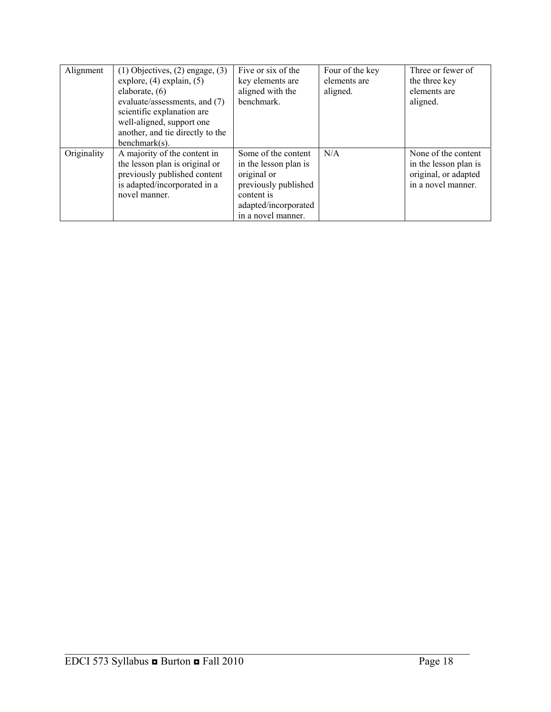| Alignment   | $(1)$ Objectives, $(2)$ engage, $(3)$ | Five or six of the    | Four of the key | Three or fewer of     |
|-------------|---------------------------------------|-----------------------|-----------------|-----------------------|
|             | explore, $(4)$ explain, $(5)$         | key elements are      | elements are    | the three key         |
|             | elaborate, $(6)$                      | aligned with the      | aligned.        | elements are          |
|             | evaluate/assessments, and (7)         | benchmark.            |                 | aligned.              |
|             | scientific explanation are            |                       |                 |                       |
|             | well-aligned, support one             |                       |                 |                       |
|             | another, and tie directly to the      |                       |                 |                       |
|             | $benchmark(s)$ .                      |                       |                 |                       |
| Originality | A majority of the content in          | Some of the content   | N/A             | None of the content   |
|             | the lesson plan is original or        | in the lesson plan is |                 | in the lesson plan is |
|             | previously published content          | original or           |                 | original, or adapted  |
|             | is adapted/incorporated in a          | previously published  |                 | in a novel manner.    |
|             | novel manner.                         | content is            |                 |                       |
|             |                                       | adapted/incorporated  |                 |                       |
|             |                                       | in a novel manner.    |                 |                       |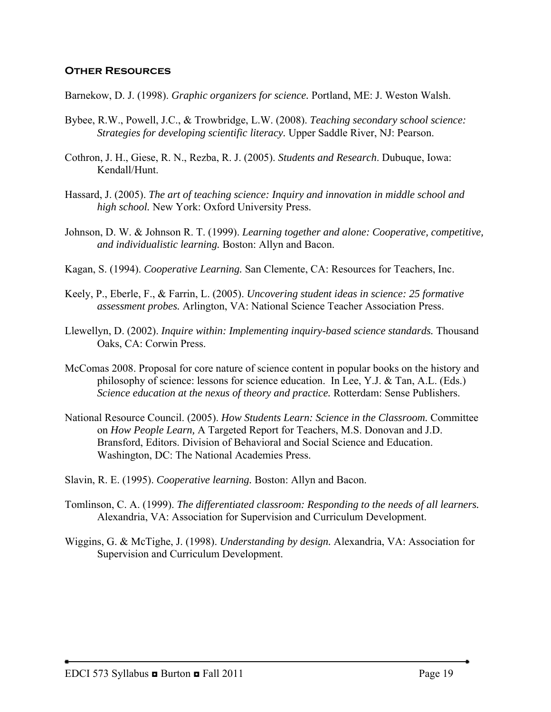#### **Other Resources**

Barnekow, D. J. (1998). *Graphic organizers for science.* Portland, ME: J. Weston Walsh.

- Bybee, R.W., Powell, J.C., & Trowbridge, L.W. (2008). *Teaching secondary school science: Strategies for developing scientific literacy.* Upper Saddle River, NJ: Pearson.
- Cothron, J. H., Giese, R. N., Rezba, R. J. (2005). *Students and Research*. Dubuque, Iowa: Kendall/Hunt.
- Hassard, J. (2005). *The art of teaching science: Inquiry and innovation in middle school and high school.* New York: Oxford University Press.
- Johnson, D. W. & Johnson R. T. (1999). *Learning together and alone: Cooperative, competitive, and individualistic learning.* Boston: Allyn and Bacon.
- Kagan, S. (1994). *Cooperative Learning.* San Clemente, CA: Resources for Teachers, Inc.
- Keely, P., Eberle, F., & Farrin, L. (2005). *Uncovering student ideas in science: 25 formative assessment probes.* Arlington, VA: National Science Teacher Association Press.
- Llewellyn, D. (2002). *Inquire within: Implementing inquiry-based science standards.* Thousand Oaks, CA: Corwin Press.
- McComas 2008. Proposal for core nature of science content in popular books on the history and philosophy of science: lessons for science education. In Lee, Y.J. & Tan, A.L. (Eds.) *Science education at the nexus of theory and practice.* Rotterdam: Sense Publishers.
- National Resource Council. (2005). *How Students Learn: Science in the Classroom.* Committee on *How People Learn,* A Targeted Report for Teachers, M.S. Donovan and J.D. Bransford, Editors. Division of Behavioral and Social Science and Education. Washington, DC: The National Academies Press.
- Slavin, R. E. (1995). *Cooperative learning.* Boston: Allyn and Bacon.
- Tomlinson, C. A. (1999). *The differentiated classroom: Responding to the needs of all learners.*  Alexandria, VA: Association for Supervision and Curriculum Development.
- Wiggins, G. & McTighe, J. (1998). *Understanding by design.* Alexandria, VA: Association for Supervision and Curriculum Development.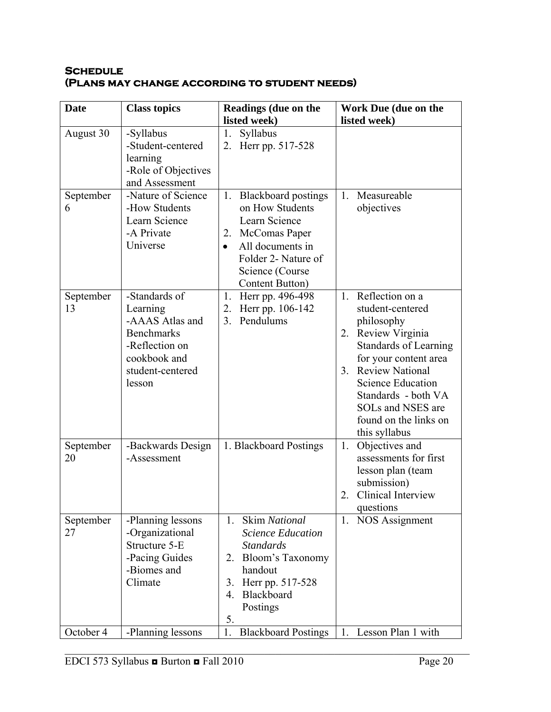### **Schedule (Plans may change according to student needs)**

| <b>Date</b>                 | <b>Class topics</b>                                                                                                                         | Readings (due on the                                                                                                                                                                               | Work Due (due on the                                                                                                                                                                                                                                                                     |
|-----------------------------|---------------------------------------------------------------------------------------------------------------------------------------------|----------------------------------------------------------------------------------------------------------------------------------------------------------------------------------------------------|------------------------------------------------------------------------------------------------------------------------------------------------------------------------------------------------------------------------------------------------------------------------------------------|
|                             |                                                                                                                                             | listed week)                                                                                                                                                                                       | listed week)                                                                                                                                                                                                                                                                             |
| August 30<br>September<br>6 | -Syllabus<br>-Student-centered<br>learning<br>-Role of Objectives<br>and Assessment<br>-Nature of Science<br>-How Students<br>Learn Science | Syllabus<br>1.<br>2. Herr pp. 517-528<br>1. Blackboard postings<br>on How Students<br>Learn Science                                                                                                | Measureable<br>1.<br>objectives                                                                                                                                                                                                                                                          |
|                             | -A Private<br>Universe                                                                                                                      | 2. McComas Paper<br>All documents in<br>$\bullet$<br>Folder 2- Nature of<br>Science (Course)<br>Content Button)                                                                                    |                                                                                                                                                                                                                                                                                          |
| September<br>13             | -Standards of<br>Learning<br>-AAAS Atlas and<br><b>Benchmarks</b><br>-Reflection on<br>cookbook and<br>student-centered<br>lesson           | 1. Herr pp. 496-498<br>2.<br>Herr pp. 106-142<br>Pendulums<br>3 <sub>1</sub>                                                                                                                       | Reflection on a<br>1.<br>student-centered<br>philosophy<br>2. Review Virginia<br><b>Standards of Learning</b><br>for your content area<br><b>Review National</b><br>3.<br><b>Science Education</b><br>Standards - both VA<br>SOLs and NSES are<br>found on the links on<br>this syllabus |
| September<br>20             | -Backwards Design<br>-Assessment                                                                                                            | 1. Blackboard Postings                                                                                                                                                                             | Objectives and<br>1.<br>assessments for first<br>lesson plan (team<br>submission)<br>Clinical Interview<br>2.<br>questions                                                                                                                                                               |
| September<br>27             | -Planning lessons<br>-Organizational<br>Structure 5-E<br>-Pacing Guides<br>-Biomes and<br>Climate                                           | <b>Skim National</b><br>$1_{-}$<br><b>Science Education</b><br><b>Standards</b><br>Bloom's Taxonomy<br>2.<br>handout<br>Herr pp. 517-528<br>3.<br>Blackboard<br>$\overline{4}$ .<br>Postings<br>5. | 1. NOS Assignment                                                                                                                                                                                                                                                                        |
| October 4                   | -Planning lessons                                                                                                                           | <b>Blackboard Postings</b><br>1.                                                                                                                                                                   | 1. Lesson Plan 1 with                                                                                                                                                                                                                                                                    |